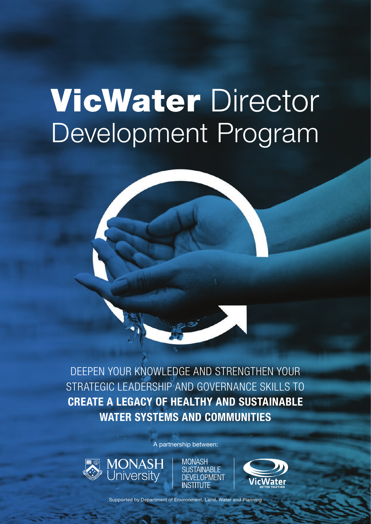# VicWater Director Development Program

DEEPEN YOUR KNOWLEDGE AND STRENGTHEN YOUR STRATEGIC LEADERSHIP AND GOVERNANCE SKILLS TO CREATE A LEGACY OF HEALTHY AND SUSTAINABLE WATER SYSTEMS AND COMMUNITIES

A partnership between:



**MONASH SUSTAINABLE DEVELOPMENT INSTITUTE** 



Supported by Department of Environment, Land, Water and Planning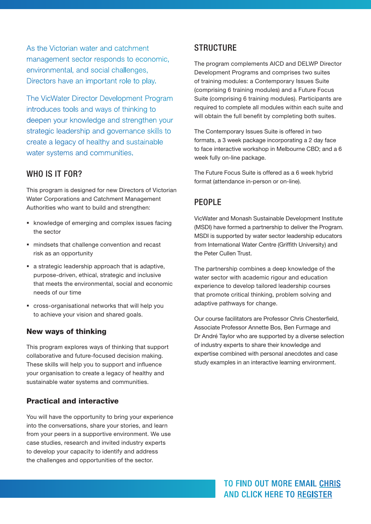As the Victorian water and catchment management sector responds to economic, environmental, and social challenges, Directors have an important role to play.

The VicWater Director Development Program introduces tools and ways of thinking to deepen your knowledge and strengthen your strategic leadership and governance skills to create a legacy of healthy and sustainable water systems and communities.

#### WHO IS IT FOR?

This program is designed for new Directors of Victorian Water Corporations and Catchment Management Authorities who want to build and strengthen:

- knowledge of emerging and complex issues facing the sector
- mindsets that challenge convention and recast risk as an opportunity
- a strategic leadership approach that is adaptive, purpose-driven, ethical, strategic and inclusive that meets the environmental, social and economic needs of our time
- cross-organisational networks that will help you to achieve your vision and shared goals.

#### New ways of thinking

This program explores ways of thinking that support collaborative and future-focused decision making. These skills will help you to support and influence your organisation to create a legacy of healthy and sustainable water systems and communities.

#### Practical and interactive

You will have the opportunity to bring your experience into the conversations, share your stories, and learn from your peers in a supportive environment. We use case studies, research and invited industry experts to develop your capacity to identify and address the challenges and opportunities of the sector.

#### **STRUCTURE**

The program complements AICD and DELWP Director Development Programs and comprises two suites of training modules: a Contemporary Issues Suite (comprising 6 training modules) and a Future Focus Suite (comprising 6 training modules). Participants are required to complete all modules within each suite and will obtain the full benefit by completing both suites.

The Contemporary Issues Suite is offered in two formats, a 3 week package incorporating a 2 day face to face interactive workshop in Melbourne CBD; and a 6 week fully on-line package.

The Future Focus Suite is offered as a 6 week hybrid format (attendance in-person or on-line).

#### PF<sub>OPI</sub> F

VicWater and Monash Sustainable Development Institute (MSDI) have formed a partnership to deliver the Program. MSDI is supported by water sector leadership educators from International Water Centre (Griffith University) and the Peter Cullen Trust.

The partnership combines a deep knowledge of the water sector with academic rigour and education experience to develop tailored leadership courses that promote critical thinking, problem solving and adaptive pathways for change.

Our course facilitators are Professor Chris Chesterfield, Associate Professor Annette Bos, Ben Furmage and Dr André Taylor who are supported by a diverse selection of industry experts to share their knowledge and expertise combined with personal anecdotes and case study examples in an interactive learning environment.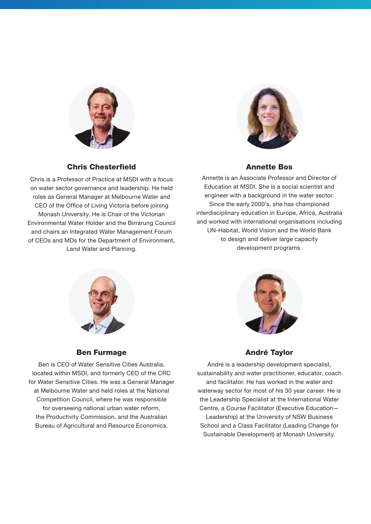

Chris Chesterfield

Chris is a Professor of Practice at MSDI with a focus on water sector governance and leadership. He held roles as General Manager at Melbourne Water and CEO of the Office of Living Victoria before joining Monash University. He is Chair of the Victorian Environmental Water Holder and the Birrarung Council and chairs an Integrated Water Management Forum of CEOs and MDs for the Department of Environment, Land Water and Planning.



#### Annette Bos

Annette is an Associate Professor and Director of Education at MSDI. She is a social scientist and engineer with a background in the water sector. Since the early 2000's, she has championed interdisciplinary education in Europe, Africa, Australia and worked with international organisations including UN-Habitat, World Vision and the World Bank to design and deliver large capacity development programs.





Ben is CEO of Water Sensitive Cities Australia, located within MSDI, and formerly CEO of the CRC for Water Sensitive Cities. He was a General Manager at Melbourne Water and held roles at the National Competition Council, where he was responsible for overseeing national urban water reform, the Productivity Commission, and the Australian Bureau of Agricultural and Resource Economics.



#### André Taylor

André is a leadership development specialist, sustainability and water practitioner, educator, coach and facilitator. He has worked in the water and waterway sector for most of his 30 year career. He is the Leadership Specialist at the International Water Centre, a Course Facilitator (Executive Education— Leadership) at the University of NSW Business School and a Class Facilitator (Leading Change for Sustainable Development) at Monash University.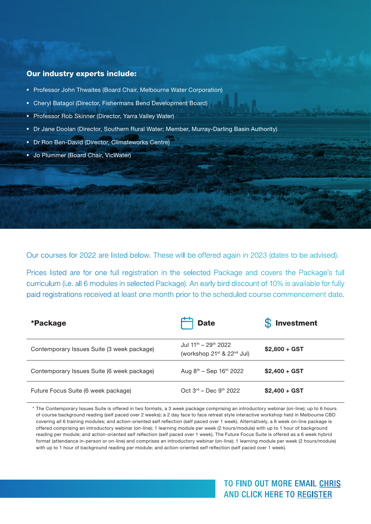#### Our industry experts include:

- **Professor John Thwaites (Board Chair, Melbourne Water Corporation)**
- Cheryl Batagol (Director, Fishermans Bend Development Board)
- **Professor Rob Skinner (Director, Yarra Valley Water)**
- Dr Jane Doolan (Director, Southern Rural Water; Member, Murray-Darling Basin Authority)
- **Dr Ron Ben-David (Director, Climateworks Centre)**
- **Jo Plummer (Board Chair, VicWater)**

Our courses for 2022 are listed below. These will be offered again in 2023 (dates to be advised).

Prices listed are for one full registration in the selected Package and covers the Package's full curriculum (i.e. all 6 modules in selected Package). An early bird discount of 10% is available for fully paid registrations received at least one month prior to the scheduled course commencement date.

| *Package                                   | <b>Date</b>                                                                                        | <b>Investment</b> |
|--------------------------------------------|----------------------------------------------------------------------------------------------------|-------------------|
| Contemporary Issues Suite (3 week package) | Jul 11 <sup>th</sup> - 29 <sup>th</sup> 2022<br>(workshop 21 <sup>st</sup> & 22 <sup>nd</sup> Jul) | $$2,800 + GST$    |
| Contemporary Issues Suite (6 week package) | Aug $8^{th}$ – Sep 16 <sup>th</sup> 2022                                                           | $$2,400 + GST$    |
| Future Focus Suite (6 week package)        | $Oct 3rd – Dec 9th 2022$                                                                           | $$2,400 + GST$    |

\* The Contemporary Issues Suite is offered in two formats, a 3 week package comprising an introductory webinar (on-line); up to 6 hours of course background reading (self paced over 2 weeks); a 2 day face to face retreat style interactive workshop held in Melbourne CBD covering all 6 training modules; and action-oriented self reflection (self paced over 1 week). Alternatively, a 6 week on-line package is offered comprising an introductory webinar (on-line); 1 learning module per week (2 hours/module) with up to 1 hour of background reading per module; and action-oriented self reflection (self paced over 1 week). The Future Focus Suite is offered as a 6 week hybrid format (attendance in-person or on-line) and comprises an introductory webinar (on-line); 1 learning module per week (2 hours/module) with up to 1 hour of background reading per module; and action-oriented self reflection (self paced over 1 week).